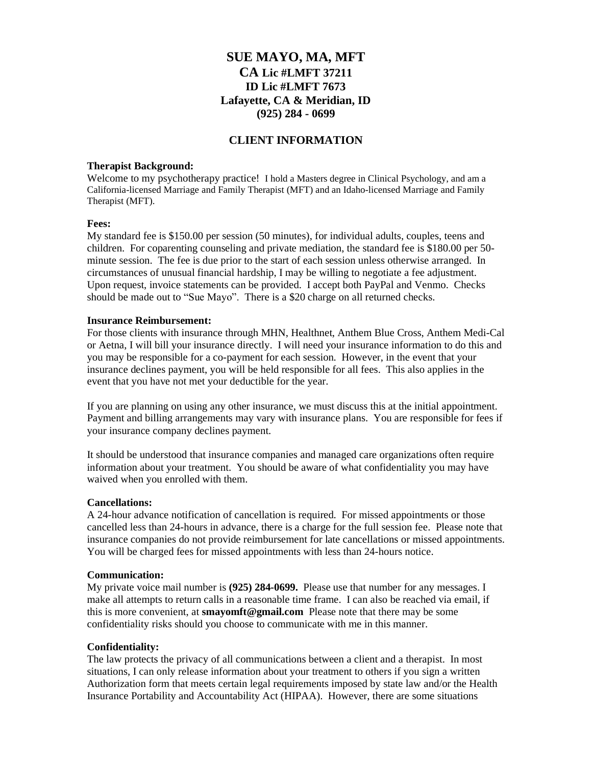# **SUE MAYO, MA, MFT CA Lic #LMFT 37211 ID Lic #LMFT 7673 Lafayette, CA & Meridian, ID (925) 284 - 0699**

# **CLIENT INFORMATION**

## **Therapist Background:**

Welcome to my psychotherapy practice! I hold a Masters degree in Clinical Psychology, and am a California-licensed Marriage and Family Therapist (MFT) and an Idaho-licensed Marriage and Family Therapist (MFT).

## **Fees:**

My standard fee is \$150.00 per session (50 minutes), for individual adults, couples, teens and children. For coparenting counseling and private mediation, the standard fee is \$180.00 per 50 minute session. The fee is due prior to the start of each session unless otherwise arranged. In circumstances of unusual financial hardship, I may be willing to negotiate a fee adjustment. Upon request, invoice statements can be provided. I accept both PayPal and Venmo. Checks should be made out to "Sue Mayo". There is a \$20 charge on all returned checks.

#### **Insurance Reimbursement:**

For those clients with insurance through MHN, Healthnet, Anthem Blue Cross, Anthem Medi-Cal or Aetna, I will bill your insurance directly. I will need your insurance information to do this and you may be responsible for a co-payment for each session. However, in the event that your insurance declines payment, you will be held responsible for all fees. This also applies in the event that you have not met your deductible for the year.

If you are planning on using any other insurance, we must discuss this at the initial appointment. Payment and billing arrangements may vary with insurance plans. You are responsible for fees if your insurance company declines payment.

It should be understood that insurance companies and managed care organizations often require information about your treatment. You should be aware of what confidentiality you may have waived when you enrolled with them.

#### **Cancellations:**

A 24-hour advance notification of cancellation is required. For missed appointments or those cancelled less than 24-hours in advance, there is a charge for the full session fee. Please note that insurance companies do not provide reimbursement for late cancellations or missed appointments. You will be charged fees for missed appointments with less than 24-hours notice.

#### **Communication:**

My private voice mail number is **(925) 284-0699.** Please use that number for any messages. I make all attempts to return calls in a reasonable time frame. I can also be reached via email, if this is more convenient, at **smayomft@gmail.com** Please note that there may be some confidentiality risks should you choose to communicate with me in this manner.

#### **Confidentiality:**

The law protects the privacy of all communications between a client and a therapist. In most situations, I can only release information about your treatment to others if you sign a written Authorization form that meets certain legal requirements imposed by state law and/or the Health Insurance Portability and Accountability Act (HIPAA). However, there are some situations